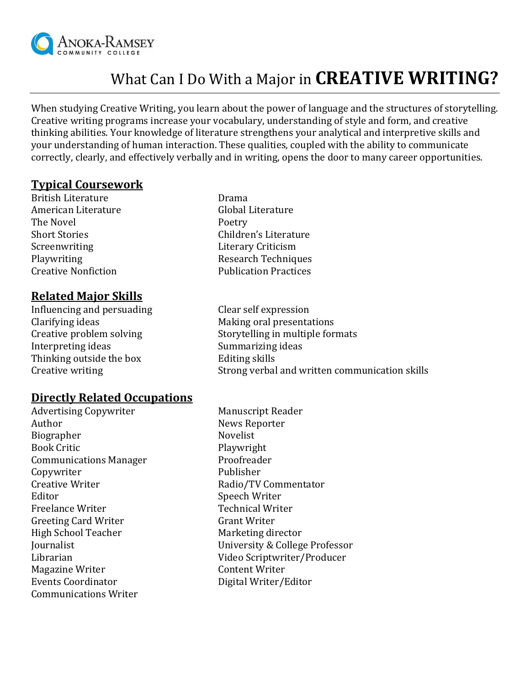

# What Can I Do With a Major in **CREATIVE WRITING?**

When studying Creative Writing, you learn about the power of language and the structures of storytelling. Creative writing programs increase your vocabulary, understanding of style and form, and creative thinking abilities. Your knowledge of literature strengthens your analytical and interpretive skills and your understanding of human interaction. These qualities, coupled with the ability to communicate correctly, clearly, and effectively verbally and in writing, opens the door to many career opportunities.

### **Typical Coursework**

British Literature **Drama** American Literature **Global Literature** The Novel **Poetry** Short Stories **Children's Literature** Screenwriting **Literary Criticism** Playwriting **Research Techniques** Research Techniques Creative Nonfiction **Publication** Practices

# **Related Major Skills**

Influencing and persuading The Clear self expression Clarifying ideas **Making oral presentations** Interpreting ideas Summarizing ideas Thinking outside the box Editing skills

Creative problem solving Storytelling in multiple formats Creative writing Strong verbal and written communication skills

### **Directly Related Occupations**

Advertising Copywriter Manuscript Reader Author News Reporter Biographer Novelist Book Critic Playwright Communications Manager Proofreader Copywriter Publisher Creative Writer **Radio/TV Commentator** Editor Speech Writer Freelance Writer **Technical Writer** Greeting Card Writer **Grant Writer** Grant Writer High School Teacher Marketing director Magazine Writer **Content Writer** Events Coordinator **Digital Writer/Editor** Communications Writer

Journalist University & College Professor Librarian Video Scriptwriter/Producer